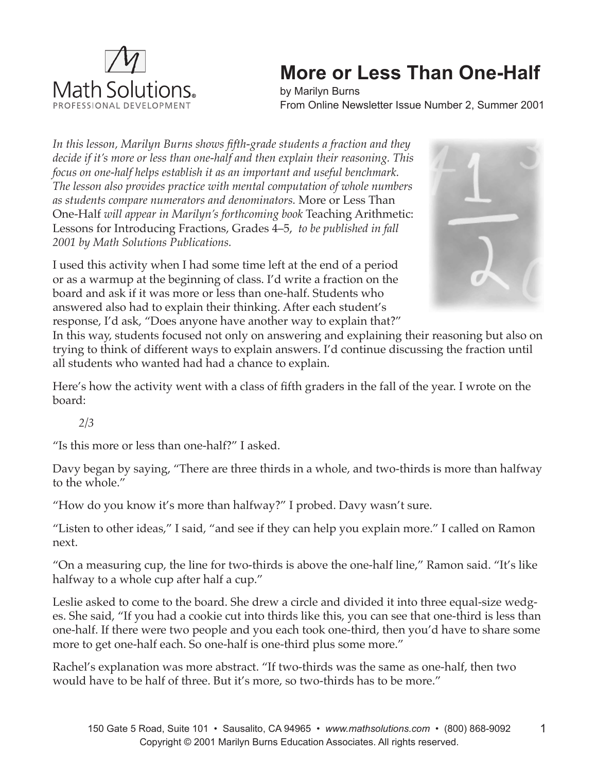

## **More or Less Than One-Half**

by Marilyn Burns From Online Newsletter Issue Number 2, Summer 2001

*In this lesson, Marilyn Burns shows fifth-grade students a fraction and they decide if it's more or less than one-half and then explain their reasoning. This focus on one-half helps establish it as an important and useful benchmark. The lesson also provides practice with mental computation of whole numbers as students compare numerators and denominators.* More or Less Than One-Half *will appear in Marilyn's forthcoming book* Teaching Arithmetic: Lessons for Introducing Fractions, Grades 4–5, *to be published in fall 2001 by Math Solutions Publications.* 

I used this activity when I had some time left at the end of a period or as a warmup at the beginning of class. I'd write a fraction on the board and ask if it was more or less than one-half. Students who answered also had to explain their thinking. After each student's response, I'd ask, "Does anyone have another way to explain that?"



In this way, students focused not only on answering and explaining their reasoning but also on trying to think of different ways to explain answers. I'd continue discussing the fraction until all students who wanted had had a chance to explain.

Here's how the activity went with a class of fifth graders in the fall of the year. I wrote on the board:

*2/3*

"Is this more or less than one-half?" I asked.

Davy began by saying, "There are three thirds in a whole, and two-thirds is more than halfway to the whole."

"How do you know it's more than halfway?" I probed. Davy wasn't sure.

"Listen to other ideas," I said, "and see if they can help you explain more." I called on Ramon next.

"On a measuring cup, the line for two-thirds is above the one-half line," Ramon said. "It's like halfway to a whole cup after half a cup."

Leslie asked to come to the board. She drew a circle and divided it into three equal-size wedges. She said, "If you had a cookie cut into thirds like this, you can see that one-third is less than one-half. If there were two people and you each took one-third, then you'd have to share some more to get one-half each. So one-half is one-third plus some more."

Rachel's explanation was more abstract. "If two-thirds was the same as one-half, then two would have to be half of three. But it's more, so two-thirds has to be more."